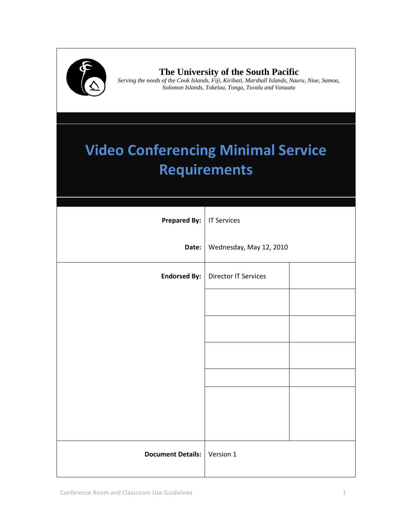

# **The University of the South Pacific**

**1993** Serving the needs of the Cook Islands, Fiji, Kiribati, Marshall Islands, Nauru, Niue, Samoa, *Solomon Islands, Tokelay Tonga, Tyyaly and Vanuatu Solomon Islands, Tokelau, Tonga, Tuvalu and Vanuatu*

# **Video Conferencing Minimal Service Requirements**

| <b>Prepared By:</b>      | <b>IT Services</b>          |
|--------------------------|-----------------------------|
| Date:                    | Wednesday, May 12, 2010     |
| <b>Endorsed By:</b>      | <b>Director IT Services</b> |
|                          |                             |
|                          |                             |
|                          |                             |
|                          |                             |
|                          |                             |
|                          |                             |
| <b>Document Details:</b> | Version 1                   |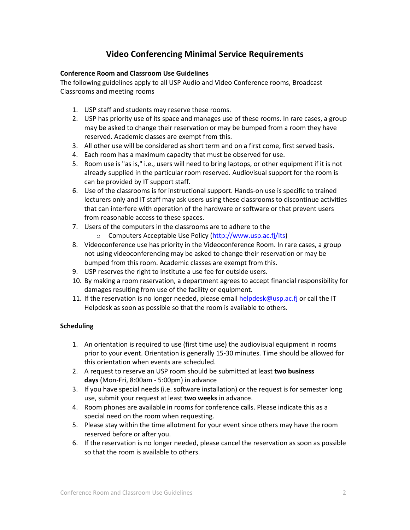## **Video Conferencing Minimal Service Requirements**

#### **Conference Room and Classroom Use Guidelines**

The following guidelines apply to all USP Audio and Video Conference rooms, Broadcast Classrooms and meeting rooms

- 1. USP staff and students may reserve these rooms.
- 2. USP has priority use of its space and manages use of these rooms. In rare cases, a group may be asked to change their reservation or may be bumped from a room they have reserved. Academic classes are exempt from this.
- 3. All other use will be considered as short term and on a first come, first served basis.
- 4. Each room has a maximum capacity that must be observed for use.
- 5. Room use is "as is," i.e., users will need to bring laptops, or other equipment if it is not already supplied in the particular room reserved. Audiovisual support for the room is can be provided by IT support staff.
- 6. Use of the classrooms is for instructional support. Hands-on use is specific to trained lecturers only and IT staff may ask users using these classrooms to discontinue activities that can interfere with operation of the hardware or software or that prevent users from reasonable access to these spaces.
- 7. Users of the computers in the classrooms are to adhere to the
	- o Computers Acceptable Use Policy [\(http://www.usp.ac.fj/its\)](http://www.usp.ac.fj/its)
- 8. Videoconference use has priority in the Videoconference Room. In rare cases, a group not using videoconferencing may be asked to change their reservation or may be bumped from this room. Academic classes are exempt from this.
- 9. USP reserves the right to institute a use fee for outside users.
- 10. By making a room reservation, a department agrees to accept financial responsibility for damages resulting from use of the facility or equipment.
- 11. If the reservation is no longer needed, please email [helpdesk@usp.ac.fj](mailto:helpdesk@usp.ac.fj) or call the IT Helpdesk as soon as possible so that the room is available to others.

#### **Scheduling**

- 1. An orientation is required to use (first time use) the audiovisual equipment in rooms prior to your event. Orientation is generally 15-30 minutes. Time should be allowed for this orientation when events are scheduled.
- 2. A request to reserve an USP room should be submitted at least **two business days** (Mon-Fri, 8:00am - 5:00pm) in advance
- 3. If you have special needs (i.e. software installation) or the request is for semester long use, submit your request at least **two weeks** in advance.
- 4. Room phones are available in rooms for conference calls. Please indicate this as a special need on the room when requesting.
- 5. Please stay within the time allotment for your event since others may have the room reserved before or after you.
- 6. If the reservation is no longer needed, please cancel the reservation as soon as possible so that the room is available to others.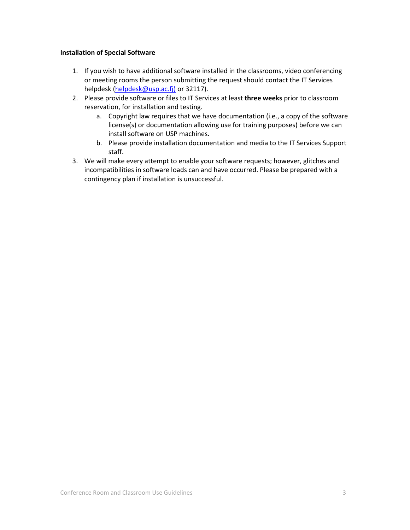#### **Installation of Special Software**

- 1. If you wish to have additional software installed in the classrooms, video conferencing or meeting rooms the person submitting the request should contact the IT Services helpdesk [\(helpdesk@usp.ac.fj\)](mailto:helpdesk@usp.ac.fj)) or 32117).
- 2. Please provide software or files to IT Services at least **three weeks** prior to classroom reservation, for installation and testing.
	- a. Copyright law requires that we have documentation (i.e., a copy of the software license(s) or documentation allowing use for training purposes) before we can install software on USP machines.
	- b. Please provide installation documentation and media to the IT Services Support staff.
- 3. We will make every attempt to enable your software requests; however, glitches and incompatibilities in software loads can and have occurred. Please be prepared with a contingency plan if installation is unsuccessful.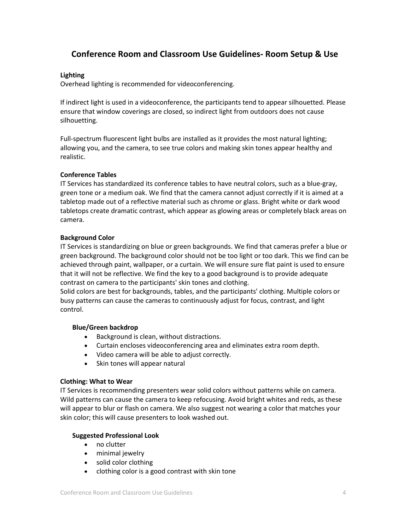## **Conference Room and Classroom Use Guidelines- Room Setup & Use**

#### **Lighting**

Overhead lighting is recommended for videoconferencing.

If indirect light is used in a videoconference, the participants tend to appear silhouetted. Please ensure that window coverings are closed, so indirect light from outdoors does not cause silhouetting.

Full-spectrum fluorescent light bulbs are installed as it provides the most natural lighting; allowing you, and the camera, to see true colors and making skin tones appear healthy and realistic.

#### **Conference Tables**

IT Services has standardized its conference tables to have neutral colors, such as a blue-gray, green tone or a medium oak. We find that the camera cannot adjust correctly if it is aimed at a tabletop made out of a reflective material such as chrome or glass. Bright white or dark wood tabletops create dramatic contrast, which appear as glowing areas or completely black areas on camera.

#### **Background Color**

IT Services is standardizing on blue or green backgrounds. We find that cameras prefer a blue or green background. The background color should not be too light or too dark. This we find can be achieved through paint, wallpaper, or a curtain. We will ensure sure flat paint is used to ensure that it will not be reflective. We find the key to a good background is to provide adequate contrast on camera to the participants' skin tones and clothing.

Solid colors are best for backgrounds, tables, and the participants' clothing. Multiple colors or busy patterns can cause the cameras to continuously adjust for focus, contrast, and light control.

#### **Blue/Green backdrop**

- Background is clean, without distractions.
- Curtain encloses videoconferencing area and eliminates extra room depth.
- Video camera will be able to adjust correctly.
- Skin tones will appear natural

#### **Clothing: What to Wear**

IT Services is recommending presenters wear solid colors without patterns while on camera. Wild patterns can cause the camera to keep refocusing. Avoid bright whites and reds, as these will appear to blur or flash on camera. We also suggest not wearing a color that matches your skin color; this will cause presenters to look washed out.

#### **Suggested Professional Look**

- no clutter
- minimal jewelry
- solid color clothing
- clothing color is a good contrast with skin tone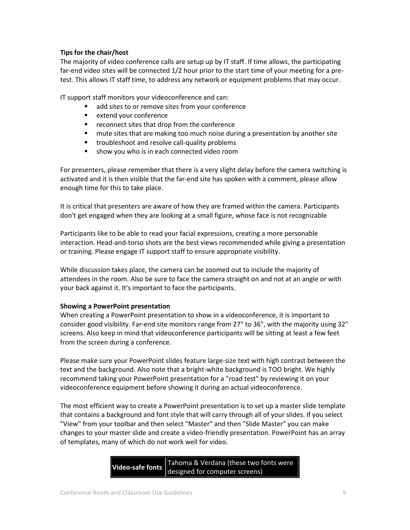#### **Tips for the chair/host**

The majority of video conference calls are setup up by IT staff. If time allows, the participating far-end video sites will be connected 1/2 hour prior to the start time of your meeting for a pretest. This allows IT staff time, to address any network or equipment problems that may occur.

IT support staff monitors your videoconference and can:

- add sites to or remove sites from your conference
- **EXTER** extend your conference
- **•** reconnect sites that drop from the conference
- mute sites that are making too much noise during a presentation by another site
- **troubleshoot and resolve call-quality problems**
- **show you who is in each connected video room**

For presenters, please remember that there is a very slight delay before the camera switching is activated and it is then visible that the far-end site has spoken with a comment, please allow enough time for this to take place.

It is critical that presenters are aware of how they are framed within the camera. Participants don't get engaged when they are looking at a small figure, whose face is not recognizable

Participants like to be able to read your facial expressions, creating a more personable interaction. Head-and-torso shots are the best views recommended while giving a presentation or training. Please engage IT support staff to ensure appropriate visibility.

While discussion takes place, the camera can be zoomed out to include the majority of attendees in the room. Also be sure to face the camera straight on and not at an angle or with your back against it. It's important to face the participants.

#### **Showing a PowerPoint presentation**

When creating a PowerPoint presentation to show in a videoconference, it is important to consider good visibility. Far-end site monitors range from 27" to 36", with the majority using 32" screens. Also keep in mind that videoconference participants will be sitting at least a few feet from the screen during a conference.

Please make sure your PowerPoint slides feature large-size text with high contrast between the text and the background. Also note that a bright-white background is TOO bright. We highly recommend taking your PowerPoint presentation for a "road test" by reviewing it on your videoconference equipment before showing it during an actual videoconference.

The most efficient way to create a PowerPoint presentation is to set up a master slide template that contains a background and font style that will carry through all of your slides. If you select "View" from your toolbar and then select "Master" and then "Slide Master" you can make changes to your master slide and create a video-friendly presentation. PowerPoint has an array of templates, many of which do not work well for video.

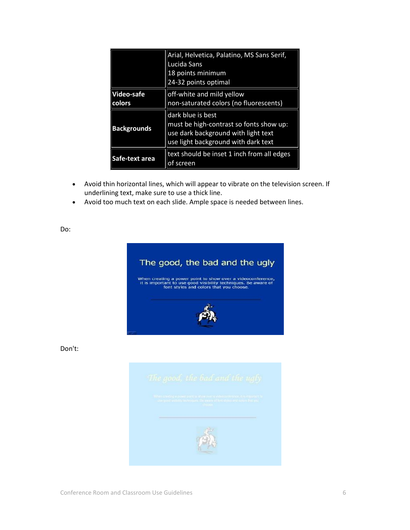| Arial, Helvetica, Palatino, MS Sans Serif,<br>Lucida Sans                                                                                  |
|--------------------------------------------------------------------------------------------------------------------------------------------|
| 18 points minimum                                                                                                                          |
| 24-32 points optimal                                                                                                                       |
| off-white and mild yellow                                                                                                                  |
| non-saturated colors (no fluorescents)                                                                                                     |
| dark blue is best<br>must be high-contrast so fonts show up:<br>use dark background with light text<br>use light background with dark text |
| text should be inset 1 inch from all edges<br>of screen                                                                                    |
|                                                                                                                                            |

- Avoid thin horizontal lines, which will appear to vibrate on the television screen. If underlining text, make sure to use a thick line.
- Avoid too much text on each slide. Ample space is needed between lines.

Do:



Don't: